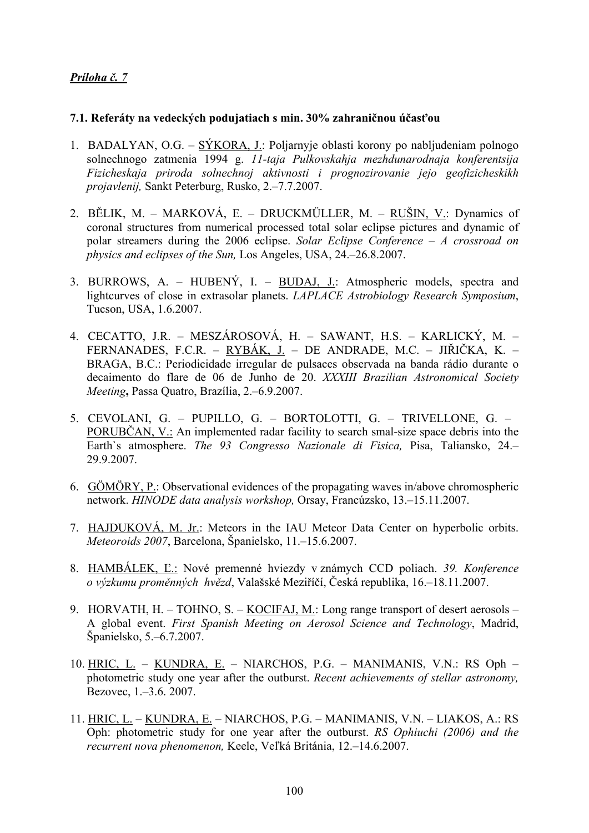## *Príloha č. 7*

## **7.1. Referáty na vedeckých podujatiach s min. 30% zahraničnou účasťou**

- 1. BADALYAN, O.G.  $\frac{\text{SYKORA}}{\text{UP}}$ . Poljarnyje oblasti korony po nabljudeniam polnogo solnechnogo zatmenia 1994 g. *11-taja Pulkovskahja mezhdunarodnaja konferentsija Fizicheskaja priroda solnechnoj aktivnosti i prognozirovanie jejo geofizicheskikh projavlenij,* Sankt Peterburg, Rusko, 2.–7.7.2007.
- 2. BĚLIK, M. MARKOVÁ, E. DRUCKMÜLLER, M. RUŠIN, V.: Dynamics of coronal structures from numerical processed total solar eclipse pictures and dynamic of polar streamers during the 2006 eclipse. *Solar Eclipse Conference – A crossroad on physics and eclipses of the Sun,* Los Angeles, USA, 24.–26.8.2007.
- 3. BURROWS, A. HUBENÝ, I. BUDAJ, J.: Atmospheric models, spectra and lightcurves of close in extrasolar planets. *LAPLACE Astrobiology Research Symposium*, Tucson, USA, 1.6.2007.
- 4. CECATTO, J.R. MESZÁROSOVÁ, H. SAWANT, H.S. KARLICKÝ, M. FERNANADES, F.C.R. – RYBÁK, J. – DE ANDRADE, M.C. – JIŘIČKA, K. – BRAGA, B.C.: Periodicidade irregular de pulsaces observada na banda rádio durante o decaimento do flare de 06 de Junho de 20. *XXXIII Brazilian Astronomical Society Meeting***,** Passa Quatro, Brazília, 2.–6.9.2007.
- 5. CEVOLANI, G. PUPILLO, G. BORTOLOTTI, G. TRIVELLONE, G. PORUBČAN, V.: An implemented radar facility to search smal-size space debris into the Earth`s atmosphere. *The 93 Congresso Nazionale di Fisica,* Pisa, Taliansko, 24.– 29.9.2007.
- 6. GÖMÖRY, P.: Observational evidences of the propagating waves in/above chromospheric network. *HINODE data analysis workshop,* Orsay, Francúzsko, 13.–15.11.2007.
- 7. HAJDUKOVÁ, M. Jr.: Meteors in the IAU Meteor Data Center on hyperbolic orbits. *Meteoroids 2007*, Barcelona, Španielsko, 11.–15.6.2007.
- 8. HAMBÁLEK, Ľ.: Nové premenné hviezdy v známych CCD poliach. *39. Konference o výzkumu proměnných hvězd*, Valašské Meziříčí, Česká republika, 16.–18.11.2007.
- 9. HORVATH, H. TOHNO, S. KOCIFAJ, M.: Long range transport of desert aerosols A global event. *First Spanish Meeting on Aerosol Science and Technology*, Madrid, Španielsko, 5.–6.7.2007.
- 10. HRIC, L. KUNDRA, E. NIARCHOS, P.G. MANIMANIS, V.N.: RS Oph photometric study one year after the outburst. *Recent achievements of stellar astronomy,*  Bezovec, 1.–3.6. 2007.
- 11. HRIC, L. KUNDRA, E. NIARCHOS, P.G. MANIMANIS, V.N. LIAKOS, A.: RS Oph: photometric study for one year after the outburst. *RS Ophiuchi (2006) and the recurrent nova phenomenon,* Keele, Veľká Británia, 12.–14.6.2007.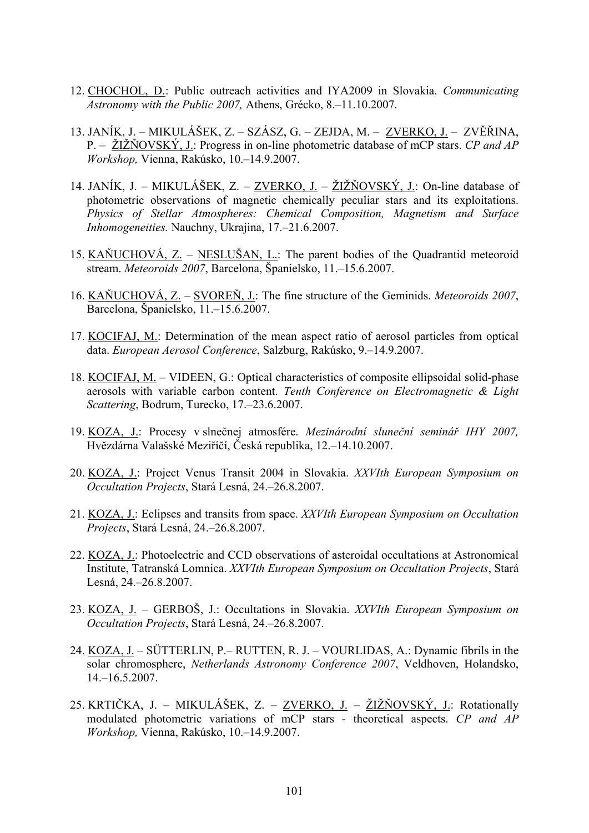- 12. CHOCHOL, D.: Public outreach activities and IYA2009 in Slovakia. *Communicating Astronomy with the Public 2007,* Athens, Grécko, 8.–11.10.2007.
- 13. JANÍK, J. MIKULÁŠEK, Z. SZÁSZ, G. ZEJDA, M. ZVERKO, J. ZVĚŘINA, P. – ŽIŽŇOVSKÝ, J.: Progress in on-line photometric database of mCP stars. *CP and AP Workshop,* Vienna, Rakúsko, 10.–14.9.2007.
- 14. JANÍK, J. MIKULÁŠEK, Z. ZVERKO, J. ŽIŽŇOVSKÝ, J.: On-line database of photometric observations of magnetic chemically peculiar stars and its exploitations. *Physics of Stellar Atmospheres: Chemical Composition, Magnetism and Surface Inhomogeneities.* Nauchny, Ukrajina, 17.–21.6.2007.
- 15. KAŇUCHOVÁ, Z. NESLUŠAN, L.: The parent bodies of the Quadrantid meteoroid stream. *Meteoroids 2007*, Barcelona, Španielsko, 11.–15.6.2007.
- 16. KAŇUCHOVÁ, Z. SVOREŇ, J.: The fine structure of the Geminids. *Meteoroids 2007*, Barcelona, Španielsko, 11.–15.6.2007.
- 17. KOCIFAJ, M.: Determination of the mean aspect ratio of aerosol particles from optical data. *European Aerosol Conference*, Salzburg, Rakúsko, 9.–14.9.2007.
- 18. KOCIFAJ, M. VIDEEN, G.: Optical characteristics of composite ellipsoidal solid-phase aerosols with variable carbon content. *Tenth Conference on Electromagnetic & Light Scattering*, Bodrum, Turecko, 17.–23.6.2007.
- 19. KOZA, J.: Procesy v slnečnej atmosfére. *Mezinárodní sluneční seminář IHY 2007,*  Hvězdárna Valašské Meziříčí, Česká republika, 12.–14.10.2007.
- 20. KOZA, J.: Project Venus Transit 2004 in Slovakia. *XXVIth European Symposium on Occultation Projects*, Stará Lesná, 24.–26.8.2007.
- 21. KOZA, J.: Eclipses and transits from space. *XXVIth European Symposium on Occultation Projects*, Stará Lesná, 24.–26.8.2007.
- 22. KOZA, J.: Photoelectric and CCD observations of asteroidal occultations at Astronomical Institute, Tatranská Lomnica. *XXVIth European Symposium on Occultation Projects*, Stará Lesná, 24.–26.8.2007.
- 23. KOZA, J. GERBOŠ, J.: Occultations in Slovakia. *XXVIth European Symposium on Occultation Projects*, Stará Lesná, 24.–26.8.2007.
- 24. KOZA, J. SÜTTERLIN, P.– RUTTEN, R. J. VOURLIDAS, A.: Dynamic fibrils in the solar chromosphere, *Netherlands Astronomy Conference 2007*, Veldhoven, Holandsko,  $14 - 16.5.2007$
- 25. KRTIČKA, J. MIKULÁŠEK, Z. ZVERKO, J. ŽIŽŇOVSKÝ, J.: Rotationally modulated photometric variations of mCP stars - theoretical aspects. *CP and AP Workshop,* Vienna, Rakúsko, 10.–14.9.2007.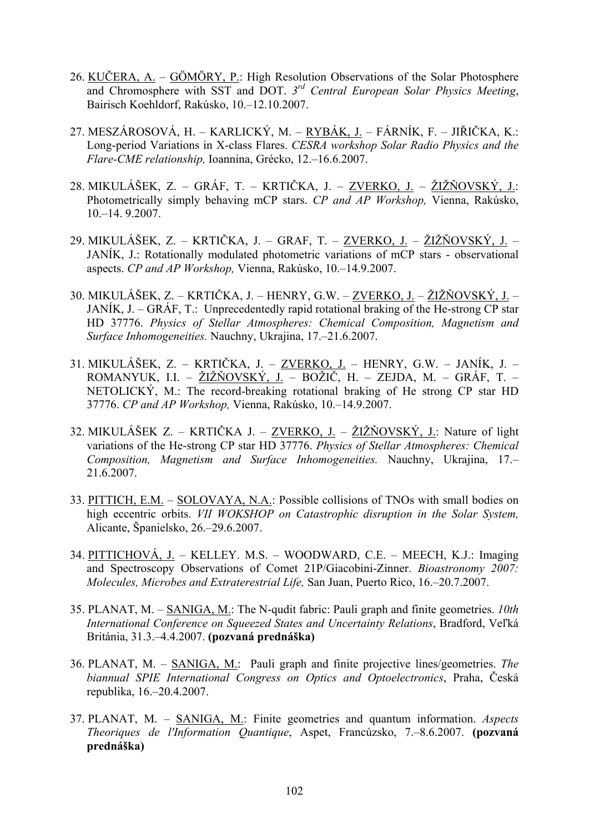- 26. KUČERA, A. GÖMÖRY, P.: High Resolution Observations of the Solar Photosphere and Chromosphere with SST and DOT. *3rd Central European Solar Physics Meeting*, Bairisch Koehldorf, Rakúsko, 10.–12.10.2007.
- 27. MESZÁROSOVÁ, H. KARLICKÝ, M. RYBÁK, J. FÁRNÍK, F. JIŘIČKA, K.: Long-period Variations in X-class Flares. *CESRA workshop Solar Radio Physics and the Flare-CME relationship,* Ioannina, Grécko, 12.–16.6.2007.
- 28. MIKULÁŠEK, Z. GRÁF, T. KRTIČKA, J. ZVERKO, J. ŽIŽŇOVSKÝ, J.: Photometrically simply behaving mCP stars. *CP and AP Workshop,* Vienna, Rakúsko, 10.–14. 9.2007.
- 29. MIKULÁŠEK, Z. KRTIČKA, J. GRAF, T. ZVERKO, J. ŽIŽŇOVSKÝ, J. JANÍK, J.: Rotationally modulated photometric variations of mCP stars - observational aspects. *CP and AP Workshop,* Vienna, Rakúsko, 10.–14.9.2007.
- 30. MIKULÁŠEK, Z. KRTIČKA, J. HENRY, G.W. ZVERKO, J. ŽIŽŇOVSKÝ, J. JANÍK, J. – GRÁF, T.: Unprecedentedly rapid rotational braking of the He-strong CP star HD 37776. *Physics of Stellar Atmospheres: Chemical Composition, Magnetism and Surface Inhomogeneities.* Nauchny, Ukrajina, 17.–21.6.2007.
- 31. MIKULÁŠEK, Z. KRTIČKA, J. ZVERKO, J. HENRY, G.W. JANÍK, J. ROMANYUK, I.I. – ŽIŽŇOVSKÝ, J. – BOŽIČ, H. – ZEJDA, M. – GRÁF, T. – NETOLICKÝ, M.: The record-breaking rotational braking of He strong CP star HD 37776. *CP and AP Workshop,* Vienna, Rakúsko, 10.–14.9.2007.
- 32. MIKULÁŠEK Z. KRTIČKA J. ZVERKO, J. ŽIŽŇOVSKÝ, J.: Nature of light variations of the He-strong CP star HD 37776. *Physics of Stellar Atmospheres: Chemical Composition, Magnetism and Surface Inhomogeneities.* Nauchny, Ukrajina, 17.– 21.6.2007.
- 33. PITTICH, E.M. SOLOVAYA, N.A.: Possible collisions of TNOs with small bodies on high eccentric orbits. *VII WOKSHOP on Catastrophic disruption in the Solar System,*  Alicante, Španielsko, 26.–29.6.2007.
- 34. PITTICHOVÁ, J. KELLEY. M.S. WOODWARD, C.E. MEECH, K.J.: Imaging and Spectroscopy Observations of Comet 21P/Giacobini-Zinner. *Bioastronomy 2007: Molecules, Microbes and Extraterestrial Life,* San Juan, Puerto Rico, 16.–20.7.2007.
- 35. PLANAT, M. SANIGA, M.: The N-qudit fabric: Pauli graph and finite geometries. *10th International Conference on Squeezed States and Uncertainty Relations*, Bradford, Veľká Británia, 31.3.–4.4.2007. **(pozvaná prednáška)**
- 36. PLANAT, M. SANIGA, M.: Pauli graph and finite projective lines/geometries. *The biannual SPIE International Congress on Optics and Optoelectronics*, Praha, Česká republika, 16.–20.4.2007.
- 37. PLANAT, M. SANIGA, M.: Finite geometries and quantum information. *Aspects Theoriques de l'Information Quantique*, Aspet, Francúzsko, 7.–8.6.2007. **(pozvaná prednáška)**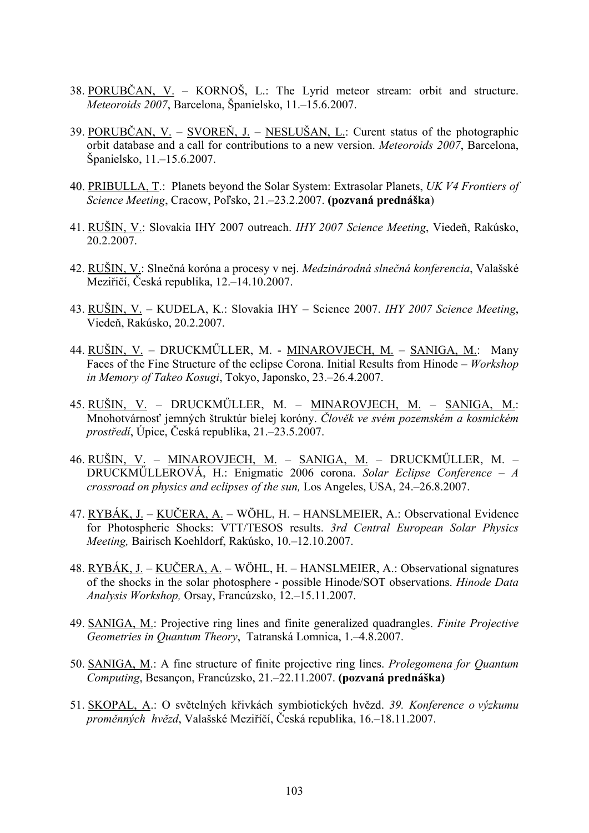- 38. PORUBČAN, V. KORNOŠ, L.: The Lyrid meteor stream: orbit and structure. *Meteoroids 2007*, Barcelona, Španielsko, 11.–15.6.2007.
- 39. PORUBČAN, V. SVOREŇ, J. NESLUŠAN, L.: Curent status of the photographic orbit database and a call for contributions to a new version. *Meteoroids 2007*, Barcelona, Španielsko, 11.–15.6.2007.
- 40. PRIBULLA, T.: Planets beyond the Solar System: Extrasolar Planets, *UK V4 Frontiers of Science Meeting*, Cracow, Poľsko, 21.–23.2.2007. **(pozvaná prednáška**)
- 41. RUŠIN, V.: Slovakia IHY 2007 outreach. *IHY 2007 Science Meeting*, Viedeň, Rakúsko, 20.2.2007.
- 42. RUŠIN, V.: Slnečná koróna a procesy v nej. *Medzinárodná slnečná konferencia*, Valašské Meziřičí, Česká republika, 12.–14.10.2007.
- 43. RUŠIN, V. KUDELA, K.: Slovakia IHY Science 2007. *IHY 2007 Science Meeting*, Viedeň, Rakúsko, 20.2.2007.
- 44. RUŠIN, V. DRUCKMŰLLER, M. MINAROVJECH, M. SANIGA, M.: Many Faces of the Fine Structure of the eclipse Corona. Initial Results from Hinode – *Workshop in Memory of Takeo Kosugi*, Tokyo, Japonsko, 23.–26.4.2007.
- 45. RUŠIN, V. DRUCKMŰLLER, M. MINAROVJECH, M. SANIGA, M.: Mnohotvárnosť jemných štruktúr bielej koróny. *Člověk ve svém pozemském a kosmickém prostředí*, Úpice, Česká republika, 21.–23.5.2007.
- 46. RUŠIN, V. MINAROVJECH, M. SANIGA, M. DRUCKMŰLLER, M. DRUCKMŰLLEROVÁ, H.: Enigmatic 2006 corona. *Solar Eclipse Conference – A crossroad on physics and eclipses of the sun,* Los Angeles, USA, 24.–26.8.2007.
- 47. RYBÁK, J. KUČERA, A. WÖHL, H. HANSLMEIER, A.: Observational Evidence for Photospheric Shocks: VTT/TESOS results. *3rd Central European Solar Physics Meeting,* Bairisch Koehldorf, Rakúsko, 10.–12.10.2007.
- 48. RYBÁK, J. KUČERA, A. WÖHL, H. HANSLMEIER, A.: Observational signatures of the shocks in the solar photosphere - possible Hinode/SOT observations. *Hinode Data Analysis Workshop,* Orsay, Francúzsko, 12.–15.11.2007.
- 49. SANIGA, M.: Projective ring lines and finite generalized quadrangles. *Finite Projective Geometries in Quantum Theory*, Tatranská Lomnica, 1.–4.8.2007.
- 50. SANIGA, M.: A fine structure of finite projective ring lines. *Prolegomena for Quantum Computing*, Besançon, Francúzsko, 21.–22.11.2007. **(pozvaná prednáška)**
- 51. SKOPAL, A.: O světelných křivkách symbiotických hvězd. *39. Konference o výzkumu proměnných hvězd*, Valašské Meziříčí, Česká republika, 16.–18.11.2007.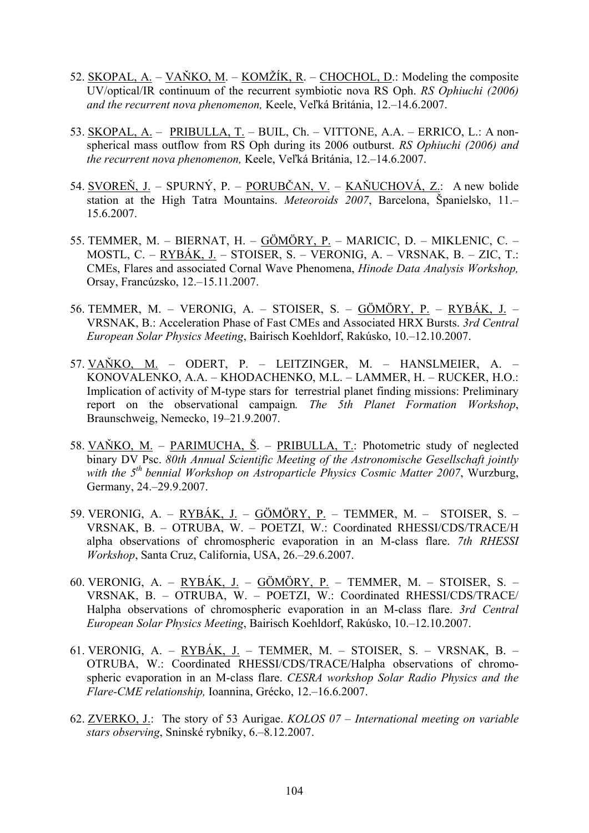- 52. SKOPAL, A. VAŇKO, M. KOMŽÍK, R. CHOCHOL, D.: Modeling the composite UV/optical/IR continuum of the recurrent symbiotic nova RS Oph. *RS Ophiuchi (2006) and the recurrent nova phenomenon,* Keele, Veľká Británia, 12.–14.6.2007.
- 53. SKOPAL, A. PRIBULLA, T. BUIL, Ch. VITTONE, A.A. ERRICO, L.: A nonspherical mass outflow from RS Oph during its 2006 outburst. *RS Ophiuchi (2006) and the recurrent nova phenomenon,* Keele, Veľká Británia, 12.–14.6.2007.
- 54. SVOREŇ, J. SPURNÝ, P. PORUBČAN, V. KAŇUCHOVÁ, Z.: A new bolide station at the High Tatra Mountains. *Meteoroids 2007*, Barcelona, Španielsko, 11.– 15.6.2007.
- 55. TEMMER, M. BIERNAT, H. GÖMÖRY, P. MARICIC, D. MIKLENIC, C. MOSTL, C. – RYBÁK, J. – STOISER, S. – VERONIG, A. – VRSNAK, B. – ZIC, T.: CMEs, Flares and associated Cornal Wave Phenomena, *Hinode Data Analysis Workshop,* Orsay, Francúzsko, 12.–15.11.2007.
- 56. TEMMER, M. VERONIG, A. STOISER, S. GÖMÖRY, P. RYBÁK, J. VRSNAK, B.: Acceleration Phase of Fast CMEs and Associated HRX Bursts. *3rd Central European Solar Physics Meeting*, Bairisch Koehldorf, Rakúsko, 10.–12.10.2007.
- 57. VAŇKO, M. ODERT, P. LEITZINGER, M. HANSLMEIER, A. KONOVALENKO, A.A. – KHODACHENKO, M.L. – LAMMER, H. – RUCKER, H.O.: Implication of activity of M-type stars for terrestrial planet finding missions: Preliminary report on the observational campaign*. The 5th Planet Formation Workshop*, Braunschweig, Nemecko, 19–21.9.2007.
- 58. VAŇKO, M. PARIMUCHA, Š. PRIBULLA, T.: Photometric study of neglected binary DV Psc. *80th Annual Scientific Meeting of the Astronomische Gesellschaft jointly*  with the 5<sup>th</sup> bennial Workshop on Astroparticle Physics Cosmic Matter 2007, Wurzburg, Germany, 24.–29.9.2007.
- 59. VERONIG, A. RYBÁK, J. GÖMÖRY, P. TEMMER, M. STOISER, S. VRSNAK, B. – OTRUBA, W. – POETZI, W.: Coordinated RHESSI/CDS/TRACE/H alpha observations of chromospheric evaporation in an M-class flare. *7th RHESSI Workshop*, Santa Cruz, California, USA, 26.–29.6.2007.
- 60. VERONIG, A.  $RYBÁK, J.$   $GÖMÖRY, P.$  TEMMER, M. STOISER, S. VRSNAK, B. – OTRUBA, W. – POETZI, W.: Coordinated RHESSI/CDS/TRACE/ Halpha observations of chromospheric evaporation in an M-class flare. *3rd Central European Solar Physics Meeting*, Bairisch Koehldorf, Rakúsko, 10.–12.10.2007.
- 61. VERONIG, A. RYBÁK, J. TEMMER, M. STOISER, S. VRSNAK, B. OTRUBA, W.: Coordinated RHESSI/CDS/TRACE/Halpha observations of chromospheric evaporation in an M-class flare. *CESRA workshop Solar Radio Physics and the Flare-CME relationship,* Ioannina, Grécko, 12.–16.6.2007.
- 62. ZVERKO, J.: The story of 53 Aurigae. *KOLOS 07 International meeting on variable stars observing*, Sninské rybníky, 6.–8.12.2007.